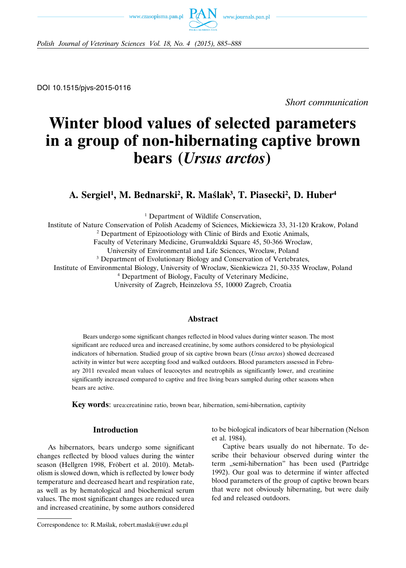www.czasopisma.pan.pl



*Polish Journal of Veterinary Sciences Vol. 18, No. 4 (2015), 885–888*

DOI 10.1515/pjvs-2015-0116

*Short communication*

# **Winter blood values of selected parameters in a group of non-hibernating captive brown bears (***Ursus arctos***)**

A. Sergiel<sup>1</sup>, M. Bednarski<sup>2</sup>, R. Maślak<sup>3</sup>, T. Piasecki<sup>2</sup>, D. Huber<sup>4</sup>

<sup>1</sup> Department of Wildlife Conservation,

Institute of Nature Conservation of Polish Academy of Sciences, Mickiewicza 33, 31-120 Krakow, Poland

<sup>2</sup> Department of Epizootiology with Clinic of Birds and Exotic Animals,

Faculty of Veterinary Medicine, Grunwaldzki Square 45, 50-366 Wroclaw,

University of Environmental and Life Sciences, Wroclaw, Poland

<sup>3</sup> Department of Evolutionary Biology and Conservation of Vertebrates,

Institute of Environmental Biology, University of Wroclaw, Sienkiewicza 21, 50-335 Wroclaw, Poland

<sup>4</sup> Department of Biology, Faculty of Veterinary Medicine,

University of Zagreb, Heinzelova 55, 10000 Zagreb, Croatia

# **Abstract**

Bears undergo some significant changes reflected in blood values during winter season. The most significant are reduced urea and increased creatinine, by some authors considered to be physiological indicators of hibernation. Studied group of six captive brown bears (*Ursus arctos*) showed decreased activity in winter but were accepting food and walked outdoors. Blood parameters assessed in February 2011 revealed mean values of leucocytes and neutrophils as significantly lower, and creatinine significantly increased compared to captive and free living bears sampled during other seasons when bears are active.

**Key words**: urea:creatinine ratio, brown bear, hibernation, semi-hibernation, captivity

### **Introduction**

As hibernators, bears undergo some significant changes reflected by blood values during the winter season (Hellgren 1998, Fröbert et al. 2010). Metabolism is slowed down, which is reflected by lower body temperature and decreased heart and respiration rate, as well as by hematological and biochemical serum values. The most significant changes are reduced urea and increased creatinine, by some authors considered to be biological indicators of bear hibernation (Nelson et al. 1984).

Captive bears usually do not hibernate. To describe their behaviour observed during winter the term "semi-hibernation" has been used (Partridge 1992). Our goal was to determine if winter affected blood parameters of the group of captive brown bears that were not obviously hibernating, but were daily fed and released outdoors.

Correspondence to: R.Maślak, robert.maslak@uwr.edu.pl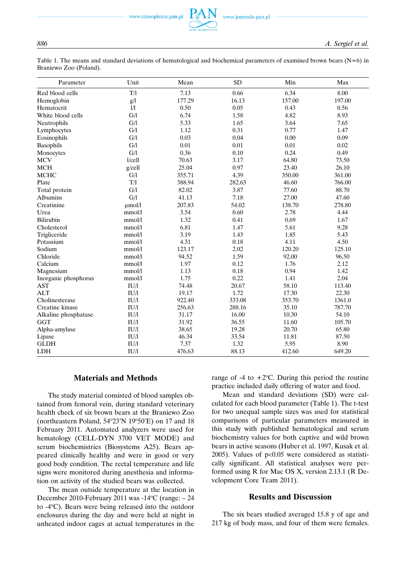www.czasopisma.pan.pl

Table 1. The means and standard deviations of hematological and biochemical parameters of examined brown bears  $(N=6)$  in Braniewo Zoo (Poland).

| Parameter            | Unit        | Mean   | <b>SD</b> | Min    | Max    |
|----------------------|-------------|--------|-----------|--------|--------|
| Red blood cells      | T/1         | 7.13   | 0.66      | 6.34   | 8.00   |
| Hemoglobin           | g/l         | 177.29 | 16.13     | 157.00 | 197.00 |
| Hematocrit           | 1/1         | 0.50   | 0.05      | 0.43   | 0.56   |
| White blood cells    | G/1         | 6.74   | 1.58      | 4.82   | 8.93   |
| Neutrophils          | G/I         | 5.33   | 1.65      | 3.64   | 7.65   |
| Lymphocytes          | G/I         | 1.12   | 0.31      | 0.77   | 1.47   |
| Eosinophils          | G/I         | 0.03   | 0.04      | 0.00   | 0.09   |
| Basophils            | G/I         | 0.01   | $0.01\,$  | 0.01   | 0.02   |
| Monocytes            | G/1         | 0.36   | 0.10      | 0.24   | 0.49   |
| <b>MCV</b>           | 1/cell      | 70.63  | 3.17      | 64.80  | 73.50  |
| <b>MCH</b>           | $g$ /cell   | 25.04  | 0.97      | 23.40  | 26.10  |
| <b>MCHC</b>          | G/I         | 355.71 | 4.39      | 350.00 | 361.00 |
| Plate                | T/l         | 388.94 | 282.63    | 46.60  | 766.00 |
| Total protein        | G/1         | 82.02  | 3.87      | 77.60  | 88.70  |
| <b>Albumins</b>      | G/l         | 41.13  | 7.18      | 27.00  | 47.60  |
| Creatinine           | $\mu$ mol/l | 207.83 | 54.02     | 138.70 | 278.80 |
| Urea                 | mmol/l      | 3.54   | 0.60      | 2.78   | 4.44   |
| Bilirubin            | mmol/l      | 1.32   | 0.41      | 0.69   | 1.67   |
| Cholesterol          | mmol/l      | 6.81   | 1.47      | 5.61   | 9.28   |
| Trigliceride         | mmol/l      | 3.19   | 1.43      | 1.85   | 5.43   |
| Potassium            | mmol/l      | 4.31   | 0.18      | 4.11   | 4.50   |
| Sodium               | mmol/l      | 123.17 | 2.02      | 120.20 | 125.10 |
| Chloride             | mmol/l      | 94.52  | 1.59      | 92.00  | 96.50  |
| Calcium              | mmol/l      | 1.97   | 0.12      | 1.76   | 2.12   |
| Magnesium            | mmol/l      | 1.13   | 0.18      | 0.94   | 1.42   |
| Inorganic phosphorus | mmol/l      | 1.75   | 0.22      | 1.41   | 2.04   |
| <b>AST</b>           | IU/1        | 74.48  | 20.67     | 58.10  | 113.40 |
| <b>ALT</b>           | IU/1        | 19.17  | 1.72      | 17.30  | 22.30  |
| Cholinesterase       | IU/1        | 922.40 | 333.08    | 353.70 | 1361.0 |
| Creatine kinase      | IU/1        | 256.63 | 288.16    | 35.10  | 787.70 |
| Alkaline phosphatase | IU/1        | 31.17  | 16.00     | 10.30  | 54.10  |
| <b>GGT</b>           | IU/1        | 31.92  | 36.55     | 11.60  | 105.70 |
| Alpha-amylase        | IU/1        | 38.65  | 19.28     | 20.70  | 65.80  |
| Lipase               | IU/I        | 46.34  | 33.54     | 11.81  | 87.50  |
| <b>GLDH</b>          | IU/I        | 7.37   | 1.32      | 5.95   | 8.90   |
| LDH                  | IU/I        | 476.63 | 88.13     | 412.60 | 649.20 |

# **Materials and Methods**

The study material consisted of blood samples obtained from femoral vein, during standard veterinary health check of six brown bears at the Braniewo Zoo (northeastern Poland,  $54^{\circ}23'N$  19 $^{\circ}50'E$ ) on 17 and 18 February 2011. Automated analyzers were used for hematology (CELL-DYN 3700 VET MODE) and serum biochemistries (Biosystems A25). Bears appeared clinically healthy and were in good or very good body condition. The rectal temperature and life signs were monitored during anesthesia and information on activity of the studied bears was collected.

The mean outside temperature at the location in December 2010-February 2011 was -14°C (range: - 24 to -4°C). Bears were being released into the outdoor enclosures during the day and were held at night in unheated indoor cages at actual temperatures in the

range of  $-4$  to  $+2$ <sup>o</sup>C. During this period the routine practice included daily offering of water and food.

Mean and standard deviations (SD) were calculated for each blood parameter (Table 1). The t-test for two unequal sample sizes was used for statistical comparisons of particular parameters measured in this study with published hematological and serum biochemistry values for both captive and wild brown bears in active seasons (Huber et al. 1997, Kusak et al. 2005). Values of  $p<0.05$  were considered as statistically significant. All statistical analyses were performed using R for Mac OS X, version 2.13.1 (R Development Core Team 2011).

#### **Results and Discussion**

The six bears studied averaged 15.8 y of age and 217 kg of body mass, and four of them were females.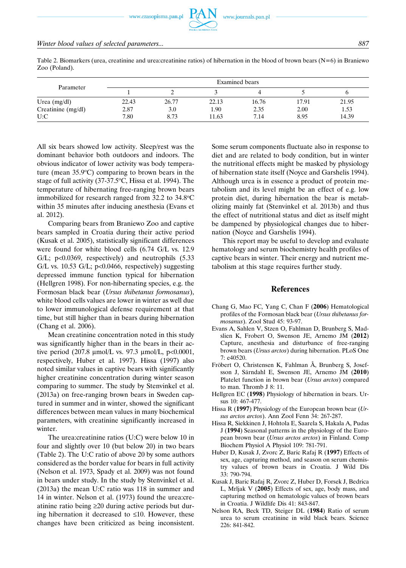Table 2. Biomarkers (urea, creatinine and urea: creatinine ratios) of hibernation in the blood of brown bears ( $N=6$ ) in Braniewo Zoo (Poland).

| Parameter          | Examined bears |       |       |       |       |       |  |  |
|--------------------|----------------|-------|-------|-------|-------|-------|--|--|
|                    |                | ∸     |       |       |       |       |  |  |
| Urea $(mg/dl)$     | 22.43          | 26.77 | 22.13 | 16.76 | 17.91 | 21.95 |  |  |
| Creatinine (mg/dl) | 2.87           | 3.0   | 1.90  | 2.35  | 2.00  | 1.53  |  |  |
| U:C                | 7.80           | 8.73  | 11.63 | 7.14  | 8.95  | 14.39 |  |  |

All six bears showed low activity. Sleep/rest was the dominant behavior both outdoors and indoors. The obvious indicator of lower activity was body temperature (mean  $35.9^{\circ}$ C) comparing to brown bears in the stage of full activity (37-37.5°C, Hissa et al. 1994). The temperature of hibernating free-ranging brown bears immobilized for research ranged from 32.2 to 34.8°C within 35 minutes after inducing anesthesia (Evans et al. 2012).

Comparing bears from Braniewo Zoo and captive bears sampled in Croatia during their active period (Kusak et al. 2005), statistically significant differences were found for white blood cells (6.74 G/L vs. 12.9 G/L; p<0.0369, respectively) and neutrophils (5.33 G/L vs. 10.53 G/L; p<0.0466, respectively) suggesting depressed immune function typical for hibernation (Hellgren 1998). For non-hibernating species, e.g. the Formosan black bear (*Ursus thibetanus formosanus*), white blood cells values are lower in winter as well due to lower immunological defense requirement at that time, but still higher than in bears during hibernation (Chang et al. 2006).

Mean creatinine concentration noted in this study was significantly higher than in the bears in their active period (207.8  $\mu$ mol/L vs. 97.3  $\mu$ mol/L, p<0.0001, respectively, Huber et al. 1997). Hissa (1997) also noted similar values in captive bears with significantly higher creatinine concentration during winter season comparing to summer. The study by Stenvinkel et al. (2013a) on free-ranging brown bears in Sweden captured in summer and in winter, showed the significant differences between mean values in many biochemical parameters, with creatinine significantly increased in winter.

The urea:creatinine ratios (U:C) were below 10 in four and slightly over 10 (but below 20) in two bears (Table 2). The U:C ratio of above 20 by some authors considered as the border value for bears in full activity (Nelson et al. 1973, Spady et al. 2009) was not found in bears under study. In the study by Stenvinkel et al. (2013a) the mean U:C ratio was 118 in summer and 14 in winter. Nelson et al. (1973) found the urea:creatinine ratio being ≥20 during active periods but during hibernation it decreased to  $\leq 10$ . However, these changes have been criticized as being inconsistent.

Some serum components fluctuate also in response to diet and are related to body condition, but in winter the nutritional effects might be masked by physiology of hibernation state itself (Noyce and Garshelis 1994). Although urea is in essence a product of protein metabolism and its level might be an effect of e.g. low protein diet, during hibernation the bear is metabolizing mainly fat (Stenvinkel et al. 2013b) and thus the effect of nutritional status and diet as itself might be dampened by physiological changes due to hibernation (Noyce and Garshelis 1994).

This report may be useful to develop and evaluate hematology and serum biochemistry health profiles of captive bears in winter. Their energy and nutrient metabolism at this stage requires further study.

#### **References**

- Chang G, Mao FC, Yang C, Chan F (**2006**) Hematological profiles of the Formosan black bear (*Ursus thibetanus formosanus*). Zool Stud 45: 93-97.
- Evans A, Sahlen V, Stzen O, Fahlman D, Brunberg S, Madslien K, Frobert O, Swenson JE, Arnemo JM (**2012**) Capture, anesthesia and disturbance of free-ranging brown bears (*Ursus arctos*) during hibernation. PLoS One 7: e40520.
- Fröbert O, Christensen K, Fahlman Å, Brunberg S, Josefsson J, Särndahl E, Swenson JE, Arnemo JM (2010) Platelet function in brown bear (*Ursus arctos*) compared to man. Thromb J 8: 11.
- Hellgren EC (**1998**) Physiology of hibernation in bears. Ursus 10: 467-477.
- Hissa R (**1997**) Physiology of the European brown bear (*Ursus arctos arctos*). Ann Zool Fenn 34: 267-287.
- Hissa R, Siekkinen J, Hohtola E, Saarela S, Hakala A, Pudas J (**1994**) Seasonal patterns in the physiology of the European brown bear (*Ursus arctos arctos*) in Finland. Comp Biochem Physiol A Physiol 109: 781-791.
- Huber D, Kusak J, Zvorc Z, Baric Rafaj R (**1997**) Effects of sex, age, capturing method, and season on serum chemistry values of brown bears in Croatia. J Wild Dis 33: 790-794.
- Kusak J, Baric Rafaj R, Zvorc Z, Huber D, Forsek J, Bedrica L, Mrljak V (**2005**) Effects of sex, age, body mass, and capturing method on hematologic values of brown bears in Croatia. J Wildlife Dis 41: 843-847.
- Nelson RA, Beck TD, Steiger DL (**1984**) Ratio of serum urea to serum creatinine in wild black bears. Science 226: 841-842.